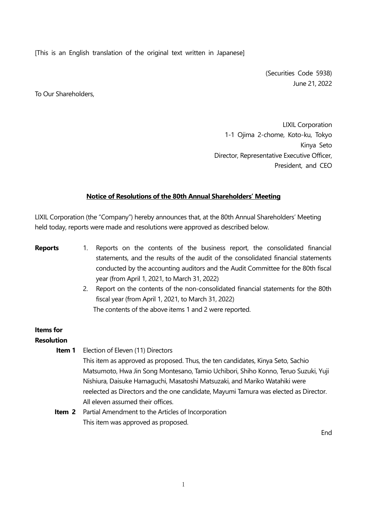[This is an English translation of the original text written in Japanese]

(Securities Code 5938) June 21, 2022

To Our Shareholders,

LIXIL Corporation 1-1 Ojima 2-chome, Koto-ku, Tokyo Kinya Seto Director, Representative Executive Officer, President, and CEO

#### **Notice of Resolutions of the 80th Annual Shareholders' Meeting**

LIXIL Corporation (the "Company") hereby announces that, at the 80th Annual Shareholders' Meeting held today, reports were made and resolutions were approved as described below.

- **Reports** 1. Reports on the contents of the business report, the consolidated financial statements, and the results of the audit of the consolidated financial statements conducted by the accounting auditors and the Audit Committee for the 80th fiscal year (from April 1, 2021, to March 31, 2022)
	- 2. Report on the contents of the non-consolidated financial statements for the 80th fiscal year (from April 1, 2021, to March 31, 2022) The contents of the above items 1 and 2 were reported.

# **Items for**

## **Resolution**

**Item 1** Election of Eleven (11) Directors

This item as approved as proposed. Thus, the ten candidates, Kinya Seto, Sachio Matsumoto, Hwa Jin Song Montesano, Tamio Uchibori, Shiho Konno, Teruo Suzuki, Yuji Nishiura, Daisuke Hamaguchi, Masatoshi Matsuzaki, and Mariko Watahiki were reelected as Directors and the one candidate, Mayumi Tamura was elected as Director. All eleven assumed their offices.

**Item 2** Partial Amendment to the Articles of Incorporation This item was approved as proposed.

End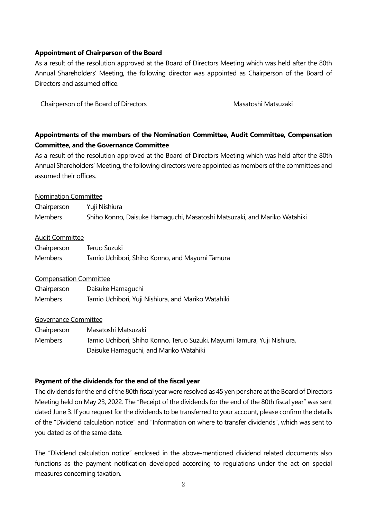#### **Appointment of Chairperson of the Board**

As a result of the resolution approved at the Board of Directors Meeting which was held after the 80th Annual Shareholders' Meeting, the following director was appointed as Chairperson of the Board of Directors and assumed office.

Chairperson of the Board of Directors **Masatoshi Matsuzaki** Masatoshi Matsuzaki

## **Appointments of the members of the Nomination Committee, Audit Committee, Compensation Committee, and the Governance Committee**

As a result of the resolution approved at the Board of Directors Meeting which was held after the 80th Annual Shareholders' Meeting, the following directors were appointed as members of the committees and assumed their offices.

#### Nomination Committee

| Chairperson    | Yuji Nishiura                                                            |
|----------------|--------------------------------------------------------------------------|
| <b>Members</b> | Shiho Konno, Daisuke Hamaguchi, Masatoshi Matsuzaki, and Mariko Watahiki |

### Audit Committee

| Chairperson | Teruo Suzuki                                   |
|-------------|------------------------------------------------|
| Members     | Tamio Uchibori, Shiho Konno, and Mayumi Tamura |

## Compensation Committee

| Chairperson    | Daisuke Hamaguchi                                  |
|----------------|----------------------------------------------------|
| <b>Members</b> | Tamio Uchibori, Yuji Nishiura, and Mariko Watahiki |

#### Governance Committee

| Chairperson | Masatoshi Matsuzaki                                                      |
|-------------|--------------------------------------------------------------------------|
| Members     | Tamio Uchibori, Shiho Konno, Teruo Suzuki, Mayumi Tamura, Yuji Nishiura, |
|             | Daisuke Hamaguchi, and Mariko Watahiki                                   |

## **Payment of the dividends for the end of the fiscal year**

The dividends for the end of the 80th fiscal year were resolved as 45 yen per share at the Board of Directors Meeting held on May 23, 2022. The "Receipt of the dividends for the end of the 80th fiscal year" was sent dated June 3. If you request for the dividends to be transferred to your account, please confirm the details of the "Dividend calculation notice" and "Information on where to transfer dividends", which was sent to you dated as of the same date.

The "Dividend calculation notice" enclosed in the above-mentioned dividend related documents also functions as the payment notification developed according to regulations under the act on special measures concerning taxation.